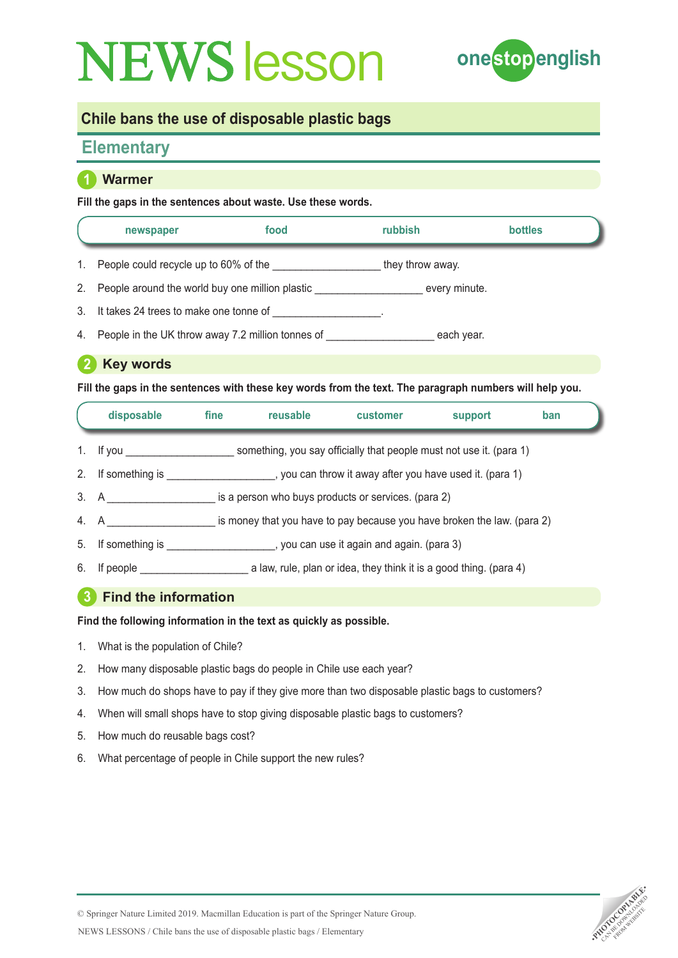

## **Chile bans the use of disposable plastic bags**

# **Elementary**

### **1 Warmer**

#### **Fill the gaps in the sentences about waste. Use these words.**

|    | newspaper                                       | food | <b>rubbish</b>   | <b>bottles</b> |  |
|----|-------------------------------------------------|------|------------------|----------------|--|
| 1. | People could recycle up to 60% of the           |      | they throw away. |                |  |
| 2. | People around the world buy one million plastic |      |                  | every minute.  |  |

- 3. It takes 24 trees to make one tonne of \_\_\_\_\_\_\_\_\_\_\_\_\_\_\_\_\_\_.
- 4. People in the UK throw away 7.2 million tonnes of each year.

## **2 Key words**

**Fill the gaps in the sentences with these key words from the text. The paragraph numbers will help you.**

|                | disposable                | fine                                                                    | reusable | customer | support | ban |
|----------------|---------------------------|-------------------------------------------------------------------------|----------|----------|---------|-----|
|                | 1. If you $\qquad \qquad$ | something, you say officially that people must not use it. (para 1)     |          |          |         |     |
| 2 <sub>1</sub> | If something is           | , you can throw it away after you have used it. (para 1)                |          |          |         |     |
|                | 3. A                      | is a person who buys products or services. (para 2)                     |          |          |         |     |
|                | 4. A                      | is money that you have to pay because you have broken the law. (para 2) |          |          |         |     |
| 5.             | If something is           | _, you can use it again and again. (para 3)                             |          |          |         |     |

6. If people **the sum of the set of the set of the set of the set of the set of the set of the set of the set of the set of the set of the set of the set of the set of the set of the set of the set of the set of the set of** 

## **3 Find the information**

**Find the following information in the text as quickly as possible.** 

- 1. What is the population of Chile?
- 2. How many disposable plastic bags do people in Chile use each year?
- 3. How much do shops have to pay if they give more than two disposable plastic bags to customers?
- 4. When will small shops have to stop giving disposable plastic bags to customers?
- 5. How much do reusable bags cost?
- 6. What percentage of people in Chile support the new rules?

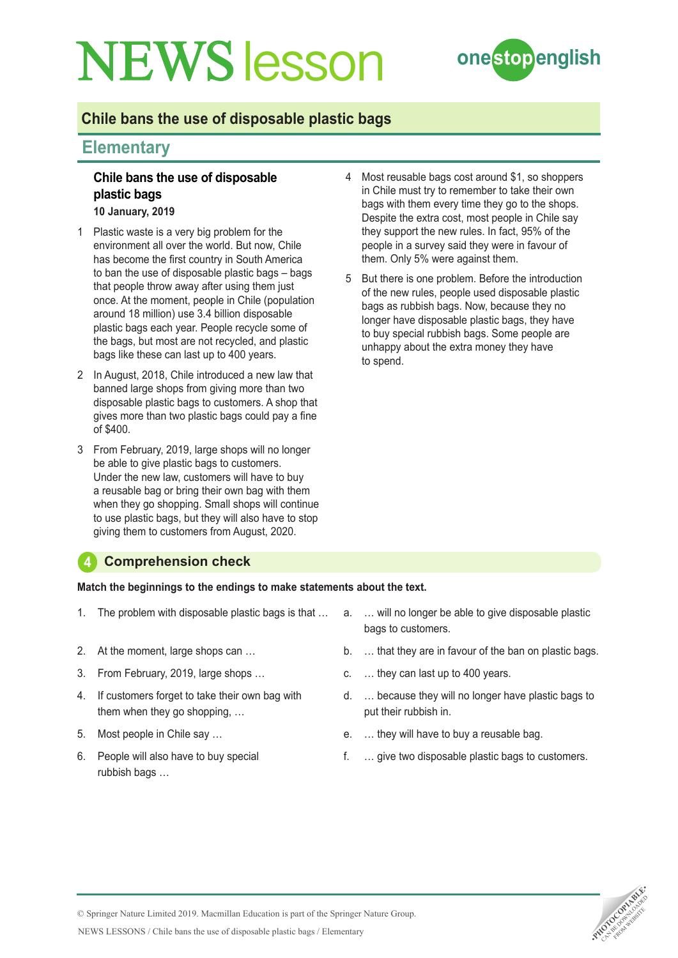

## **Chile bans the use of disposable plastic bags**

## **Elementary**

### **Chile bans the use of disposable plastic bags**

**10 January, 2019**

- 1 Plastic waste is a very big problem for the environment all over the world. But now, Chile has become the first country in South America to ban the use of disposable plastic bags – bags that people throw away after using them just once. At the moment, people in Chile (population around 18 million) use 3.4 billion disposable plastic bags each year. People recycle some of the bags, but most are not recycled, and plastic bags like these can last up to 400 years.
- 2 In August, 2018, Chile introduced a new law that banned large shops from giving more than two disposable plastic bags to customers. A shop that gives more than two plastic bags could pay a fine of \$400.
- 3 From February, 2019, large shops will no longer be able to give plastic bags to customers. Under the new law, customers will have to buy a reusable bag or bring their own bag with them when they go shopping. Small shops will continue to use plastic bags, but they will also have to stop giving them to customers from August, 2020.
- 4 Most reusable bags cost around \$1, so shoppers in Chile must try to remember to take their own bags with them every time they go to the shops. Despite the extra cost, most people in Chile say they support the new rules. In fact, 95% of the people in a survey said they were in favour of them. Only 5% were against them.
- 5 But there is one problem. Before the introduction of the new rules, people used disposable plastic bags as rubbish bags. Now, because they no longer have disposable plastic bags, they have to buy special rubbish bags. Some people are unhappy about the extra money they have to spend.

### **4 Comprehension check**

**Match the beginnings to the endings to make statements about the text.**

- 1. The problem with disposable plastic bags is that …
- 2. At the moment, large shops can …
- 3. From February, 2019, large shops …
- 4. If customers forget to take their own bag with them when they go shopping, …
- 5. Most people in Chile say …
- 6. People will also have to buy special rubbish bags ...
- a. … will no longer be able to give disposable plastic bags to customers.
- b. … that they are in favour of the ban on plastic bags.
- c. … they can last up to 400 years.
- d. … because they will no longer have plastic bags to put their rubbish in.
- e. … they will have to buy a reusable bag.
- f. … give two disposable plastic bags to customers.



NEWS LESSONS / Chile bans the use of disposable plastic bags / Elementary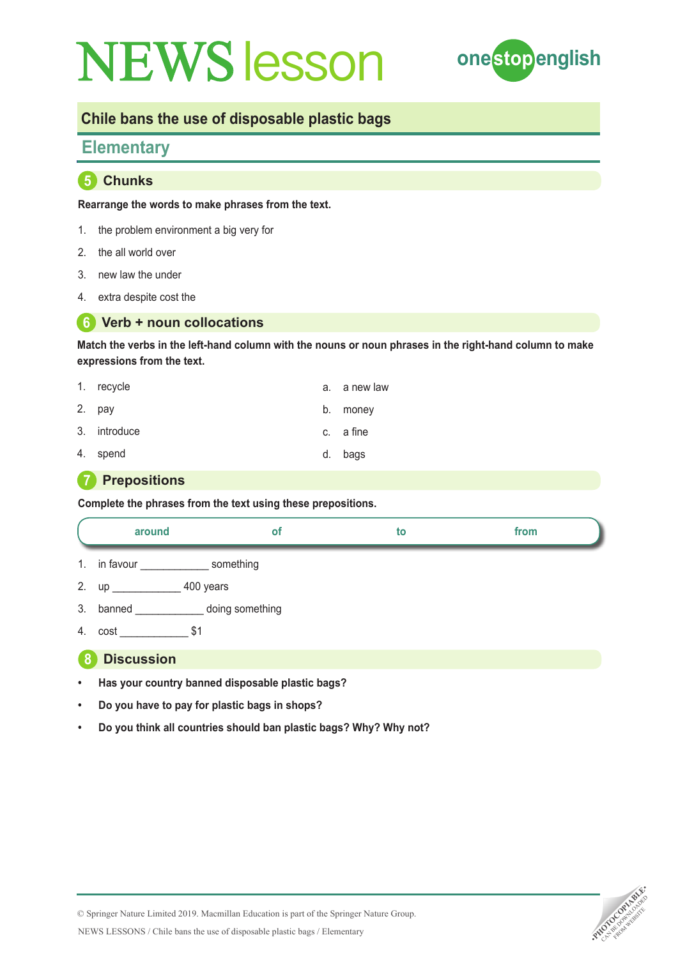

# **Chile bans the use of disposable plastic bags**

## **Elementary**

**5 Chunks**

**Rearrange the words to make phrases from the text.**

- 1. the problem environment a big very for
- 2. the all world over
- 3. new law the under
- 4. extra despite cost the

#### **6 Verb + noun collocations**

**Match the verbs in the left-hand column with the nouns or noun phrases in the right-hand column to make expressions from the text.**

| 1. recycle   |    | a. a new law |
|--------------|----|--------------|
| 2. pay       |    | b. money     |
| 3. introduce |    | c. a fine    |
| 4. spend     | d. | bags         |

## **7 Prepositions**

**Complete the phrases from the text using these prepositions.**

|    | around            | οf              | to | from |  |  |
|----|-------------------|-----------------|----|------|--|--|
| 1. | in favour         | something       |    |      |  |  |
| 2. |                   | 400 years       |    |      |  |  |
| 3. | banned            | doing something |    |      |  |  |
| 4. | cost              | \$1             |    |      |  |  |
| o  | <b>Discussion</b> |                 |    |      |  |  |

- **• Has your country banned disposable plastic bags?**
- **• Do you have to pay for plastic bags in shops?**
- **• Do you think all countries should ban plastic bags? Why? Why not?**